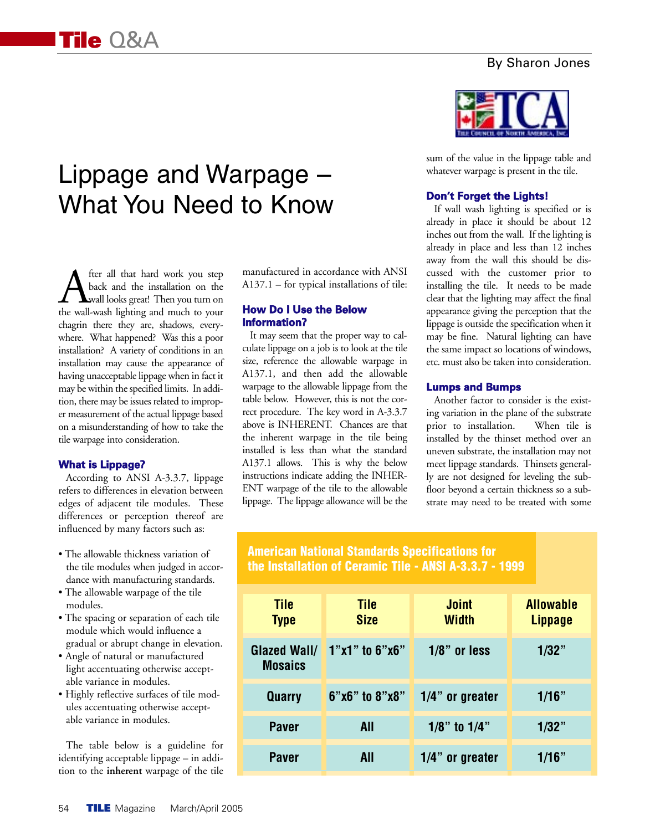## By Sharon Jones

# Lippage and Warpage – What You Need to Know

**A** fter all that hard work you step<br>back and the installation on the<br>the wall-wash lighting and much to your back and the installation on the wall looks great! Then you turn on chagrin there they are, shadows, everywhere. What happened? Was this a poor installation? A variety of conditions in an installation may cause the appearance of having unacceptable lippage when in fact it may be within the specified limits. In addition, there may be issues related to improper measurement of the actual lippage based on a misunderstanding of how to take the tile warpage into consideration.

### **What is Lippage?**

According to ANSI A-3.3.7, lippage refers to differences in elevation between edges of adjacent tile modules. These differences or perception thereof are influenced by many factors such as:

- The allowable thickness variation of the tile modules when judged in accordance with manufacturing standards.
- The allowable warpage of the tile modules.
- The spacing or separation of each tile module which would influence a gradual or abrupt change in elevation.
- Angle of natural or manufactured light accentuating otherwise acceptable variance in modules.
- Highly reflective surfaces of tile modules accentuating otherwise acceptable variance in modules.

The table below is a guideline for identifying acceptable lippage – in addition to the **inherent** warpage of the tile

manufactured in accordance with ANSI A137.1 – for typical installations of tile:

## **How Do I Use the Below Information?**

It may seem that the proper way to calculate lippage on a job is to look at the tile size, reference the allowable warpage in A137.1, and then add the allowable warpage to the allowable lippage from the table below. However, this is not the correct procedure. The key word in A-3.3.7 above is INHERENT. Chances are that the inherent warpage in the tile being installed is less than what the standard A137.1 allows. This is why the below instructions indicate adding the INHER-ENT warpage of the tile to the allowable lippage. The lippage allowance will be the



sum of the value in the lippage table and whatever warpage is present in the tile.

### **Don't Forget the Lights!**

If wall wash lighting is specified or is already in place it should be about 12 inches out from the wall. If the lighting is already in place and less than 12 inches away from the wall this should be discussed with the customer prior to installing the tile. It needs to be made clear that the lighting may affect the final appearance giving the perception that the lippage is outside the specification when it may be fine. Natural lighting can have the same impact so locations of windows, etc. must also be taken into consideration.

### **Lumps and Bumps**

Another factor to consider is the existing variation in the plane of the substrate prior to installation. When tile is installed by the thinset method over an uneven substrate, the installation may not meet lippage standards. Thinsets generally are not designed for leveling the subfloor beyond a certain thickness so a substrate may need to be treated with some

# **American National Standards Specifications for the Installation of Ceramic Tile - ANSI A-3.3.7 - 1999**

| <b>Tile</b><br><b>Type</b>            | <b>Tile</b><br><b>Size</b> | <b>Joint</b><br><b>Width</b> | <b>Allowable</b><br><b>Lippage</b> |
|---------------------------------------|----------------------------|------------------------------|------------------------------------|
| <b>Glazed Wall/</b><br><b>Mosaics</b> | $1"x1"$ to $6"x6"$         | $1/8$ " or less              | 1/32"                              |
| Quarry                                | 6"x6" to 8"x8"             | $1/4$ " or greater           | 1/16"                              |
| <b>Paver</b>                          | All                        | $1/8$ " to $1/4$ "           | 1/32"                              |
| <b>Paver</b>                          | <b>All</b>                 | $1/4$ " or greater           | 1/16"                              |